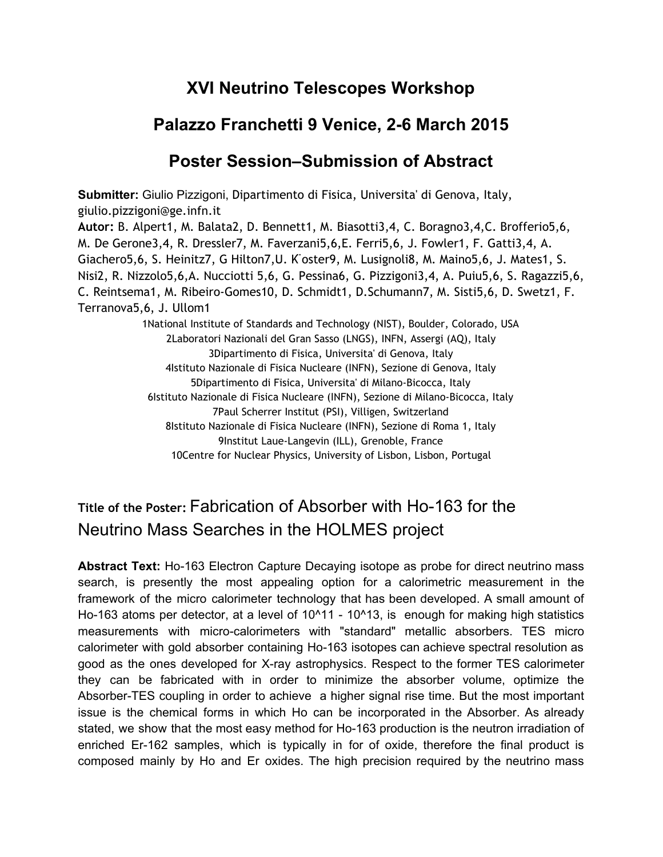## **XVI Neutrino Telescopes Workshop**

## **Palazzo Franchetti 9 Venice, 26 March 2015**

## **Poster Session–Submission of Abstract**

**Submitter:**Giulio Pizzigoni, Dipartimento di Fisica, Universita' di Genova, Italy, giulio.pizzigoni@ge.infn.it **Autor:**B. Alpert1, M. Balata2, D. Bennett1, M. Biasotti3,4, C. Boragno3,4,C. Brofferio5,6, M. De Gerone3,4, R. Dressler7, M. Faverzani5,6,E. Ferri5,6, J. Fowler1, F. Gatti3,4, A. Giachero5,6, S. Heinitz7, G Hilton7,U. K ̈oster9, M. Lusignoli8, M. Maino5,6, J. Mates1, S. Nisi2, R. Nizzolo5,6,A. Nucciotti 5,6, G. Pessina6, G. Pizzigoni3,4, A. Puiu5,6, S. Ragazzi5,6, C. Reintsema1, M. Ribeiro-Gomes10, D. Schmidt1, D.Schumann7, M. Sisti5,6, D. Swetz1, F. Terranova5,6, J. Ullom1 1National Institute of Standards and Technology (NIST), Boulder, Colorado, USA 2Laboratori Nazionali del Gran Sasso (LNGS), INFN, Assergi (AQ), Italy 3Dipartimento di Fisica, Universita' di Genova, Italy 4Istituto Nazionale di Fisica Nucleare (INFN), Sezione di Genova, Italy 5Dipartimento di Fisica, Universita' di Milano-Bicocca, Italy 6Istituto Nazionale di Fisica Nucleare (INFN), Sezione di Milano-Bicocca, Italy 7Paul Scherrer Institut (PSI), Villigen, Switzerland

8Istituto Nazionale di Fisica Nucleare (INFN), Sezione di Roma 1, Italy 9Institut Laue-Langevin (ILL), Grenoble, France

10Centre for Nuclear Physics, University of Lisbon, Lisbon, Portugal

## **Title of the Poster: Fabrication of Absorber with Ho-163 for the** Neutrino Mass Searches in the HOLMES project

**Abstract Text:** Ho-163 Electron Capture Decaying isotope as probe for direct neutrino mass search, is presently the most appealing option for a calorimetric measurement in the framework of the micro calorimeter technology that has been developed. A small amount of Ho-163 atoms per detector, at a level of  $10<sup>11</sup> - 10<sup>13</sup>$ , is enough for making high statistics measurements with micro-calorimeters with "standard" metallic absorbers. TES micro calorimeter with gold absorber containing Ho-163 isotopes can achieve spectral resolution as good as the ones developed for X-ray astrophysics. Respect to the former TES calorimeter they can be fabricated with in order to minimize the absorber volume, optimize the Absorber-TES coupling in order to achieve a higher signal rise time. But the most important issue is the chemical forms in which Ho can be incorporated in the Absorber. As already stated, we show that the most easy method for Ho-163 production is the neutron irradiation of enriched Er-162 samples, which is typically in for of oxide, therefore the final product is composed mainly by Ho and Er oxides. The high precision required by the neutrino mass